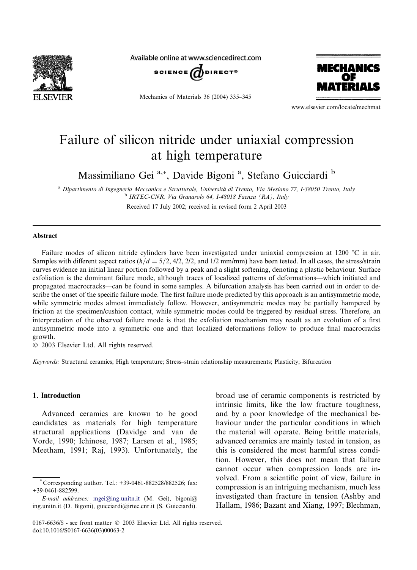

Available online at www.sciencedirect.com



Mechanics of Materials 36 (2004) 335–345



www.elsevier.com/locate/mechmat

# Failure of silicon nitride under uniaxial compression at high temperature

Massimiliano Gei<sup>a,\*</sup>, Davide Bigoni<sup>a</sup>, Stefano Guicciardi<sup>b</sup>

a Dipartimento di Ingegneria Meccanica e Strutturale, Università di Trento, Via Mesiano 77, I-38050 Trento, Italy<br><sup>b</sup> IRTEC-CNR, Via Granarolo 64, I-48018 Faenza (RA), Italy Received 17 July 2002; received in revised form 2 April 2003

### Abstract

Failure modes of silicon nitride cylinders have been investigated under uniaxial compression at 1200 °C in air. Samples with different aspect ratios  $(h/d = 5/2, 4/2, 2/2,$  and  $1/2$  mm/mm) have been tested. In all cases, the stress/strain curves evidence an initial linear portion followed by a peak and a slight softening, denoting a plastic behaviour. Surface exfoliation is the dominant failure mode, although traces of localized patterns of deformations––which initiated and propagated macrocracks––can be found in some samples. A bifurcation analysis has been carried out in order to describe the onset of the specific failure mode. The first failure mode predicted by this approach is an antisymmetric mode, while symmetric modes almost immediately follow. However, antisymmetric modes may be partially hampered by friction at the specimen/cushion contact, while symmetric modes could be triggered by residual stress. Therefore, an interpretation of the observed failure mode is that the exfoliation mechanism may result as an evolution of a first antisymmetric mode into a symmetric one and that localized deformations follow to produce final macrocracks growth.

 $© 2003 Elsevier Ltd. All rights reserved.$ 

Keywords: Structural ceramics; High temperature; Stress–strain relationship measurements; Plasticity; Bifurcation

# 1. Introduction

Advanced ceramics are known to be good candidates as materials for high temperature structural applications (Davidge and van de Vorde, 1990; Ichinose, 1987; Larsen et al., 1985; Meetham, 1991; Raj, 1993). Unfortunately, the broad use of ceramic components is restricted by intrinsic limits, like the low fracture toughness, and by a poor knowledge of the mechanical behaviour under the particular conditions in which the material will operate. Being brittle materials, advanced ceramics are mainly tested in tension, as this is considered the most harmful stress condition. However, this does not mean that failure cannot occur when compression loads are involved. From a scientific point of view, failure in compression is an intriguing mechanism, much less investigated than fracture in tension (Ashby and Hallam, 1986; Bazant and Xiang, 1997; Blechman,

Corresponding author. Tel.: +39-0461-882528/882526; fax: +39-0461-882599.

E-mail addresses: [mgei@ing.unitn.it](mail to: mgei@ing.unitn.it) (M. Gei), bigoni@ ing.unitn.it (D. Bigoni), guicciardi@irtec.cnr.it (S. Guicciardi).

<sup>0167-6636/\$ -</sup> see front matter © 2003 Elsevier Ltd. All rights reserved. doi:10.1016/S0167-6636(03)00063-2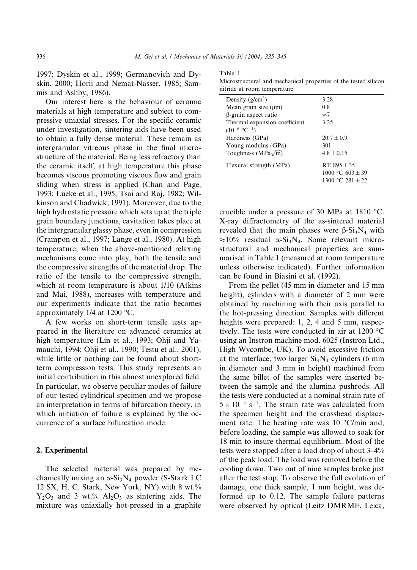1997; Dyskin et al., 1999; Germanovich and Dyskin, 2000; Horii and Nemat-Nasser, 1985; Sammis and Ashby, 1986).

Our interest here is the behaviour of ceramic materials at high temperature and subject to compressive uniaxial stresses. For the specific ceramic under investigation, sintering aids have been used to obtain a fully dense material. These remain as intergranular vitreous phase in the final microstructure of the material. Being less refractory than the ceramic itself, at high temperature this phase becomes viscous promoting viscous flow and grain sliding when stress is applied (Chan and Page, 1993; Lueke et al., 1995; Tsai and Raj, 1982; Wilkinson and Chadwick, 1991). Moreover, due to the high hydrostatic pressure which sets up at the triple grain boundary junctions, cavitation takes place at the intergranular glassy phase, even in compression (Crampon et al., 1997; Lange et al., 1980). At high temperature, when the above-mentioned relaxing mechanisms come into play, both the tensile and the compressive strengths of the material drop. The ratio of the tensile to the compressive strength, which at room temperature is about 1/10 (Atkins and Mai, 1988), increases with temperature and our experiments indicate that the ratio becomes approximately  $1/4$  at  $1200$  °C.

A few works on short-term tensile tests appeared in the literature on advanced ceramics at high temperature (Lin et al., 1993; Ohji and Yamauchi, 1994; Ohji et al., 1990; Testu et al., 2001), while little or nothing can be found about shortterm compression tests. This study represents an initial contribution in this almost unexplored field. In particular, we observe peculiar modes of failure of our tested cylindrical specimen and we propose an interpretation in terms of bifurcation theory, in which initiation of failure is explained by the occurrence of a surface bifurcation mode.

## 2. Experimental

The selected material was prepared by mechanically mixing an  $\alpha$ -Si<sub>3</sub>N<sub>4</sub> powder (S-Stark LC 12 SX, H. C. Stark, New York, NY) with 8 wt.%  $Y_2O_3$  and 3 wt.%  $Al_2O_3$  as sintering aids. The mixture was uniaxially hot-pressed in a graphite

# Table 1

Microstructural and mechanical properties of the tested silicon nitride at room temperature

| Density $(g/cm^3)$            | 3.28                 |
|-------------------------------|----------------------|
| Mean grain size $(\mu m)$     | 0.8                  |
| β-grain aspect ratio          | $\approx 7$          |
| Thermal expansion coefficient | 3.25                 |
| $(10^{-6} °C^{-1})$           |                      |
| Hardness (GPa)                | $20.7 + 0.9$         |
| Young modulus (GPa)           | 301                  |
| Toughness (MPa $\sqrt{m}$ )   | $4.8 + 0.15$         |
| Flexural strength (MPa)       | $RT895 + 35$         |
|                               | 1000 °C 603 $\pm$ 39 |
|                               | 1300 °C 281 $\pm$ 22 |
|                               |                      |

crucible under a pressure of 30 MPa at 1810  $^{\circ}$ C. X-ray diffractometry of the as-sintered material revealed that the main phases were  $\beta$ -Si<sub>3</sub>N<sub>4</sub> with  $\approx 10\%$  residual  $\alpha$ -Si<sub>3</sub>N<sub>4</sub>. Some relevant microstructural and mechanical properties are summarised in Table 1 (measured at room temperature unless otherwise indicated). Further information can be found in Biasini et al. (1992).

From the pellet (45 mm in diameter and 15 mm height), cylinders with a diameter of 2 mm were obtained by machining with their axis parallel to the hot-pressing direction. Samples with different heights were prepared: 1, 2, 4 and 5 mm, respectively. The tests were conducted in air at  $1200^{\circ}$ C using an Instron machine mod. 6025 (Instron Ltd., High Wycombe, UK). To avoid excessive friction at the interface, two larger  $Si<sub>3</sub>N<sub>4</sub>$  cylinders (6 mm in diameter and 3 mm in height) machined from the same billet of the samples were inserted between the sample and the alumina pushrods. All the tests were conducted at a nominal strain rate of  $5 \times 10^{-5}$  s<sup>-1</sup>. The strain rate was calculated from the specimen height and the crosshead displacement rate. The heating rate was  $10^{\circ}$ C/min and, before loading, the sample was allowed to soak for 18 min to insure thermal equilibrium. Most of the tests were stopped after a load drop of about 3–4% of the peak load. The load was removed before the cooling down. Two out of nine samples broke just after the test stop. To observe the full evolution of damage, one thick sample, 1 mm height, was deformed up to 0.12. The sample failure patterns were observed by optical (Leitz DMRME, Leica,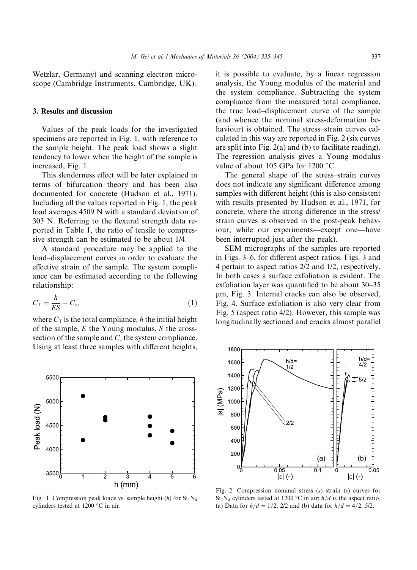Wetzlar, Germany) and scanning electron microscope (Cambridge Instruments, Cambridge, UK).

#### 3. Results and discussion

Values of the peak loads for the investigated specimens are reported in Fig. 1, with reference to the sample height. The peak load shows a slight tendency to lower when the height of the sample is increased, Fig. 1.

This slenderness effect will be later explained in terms of bifurcation theory and has been also documented for concrete (Hudson et al., 1971). Including all the values reported in Fig. 1, the peak load averages 4509 N with a standard deviation of 303 N. Referring to the flexural strength data reported in Table 1, the ratio of tensile to compressive strength can be estimated to be about 1/4.

A standard procedure may be applied to the load–displacement curves in order to evaluate the effective strain of the sample. The system compliance can be estimated according to the following relationship:

$$
C_{\rm T} = \frac{h}{ES} + C_{\rm s},\tag{1}
$$

where  $C_T$  is the total compliance, h the initial height of the sample,  $E$  the Young modulus,  $S$  the crosssection of the sample and  $C_s$  the system compliance. Using at least three samples with different heights,



Fig. 1. Compression peak loads vs. sample height (h) for  $Si<sub>3</sub>N<sub>4</sub>$ cylinders tested at 1200 °C in air.

it is possible to evaluate, by a linear regression analysis, the Young modulus of the material and the system compliance. Subtracting the system compliance from the measured total compliance, the true load–displacement curve of the sample (and whence the nominal stress-deformation behaviour) is obtained. The stress–strain curves calculated in this way are reported in Fig. 2 (six curves are split into Fig. 2(a) and (b) to facilitate reading). The regression analysis gives a Young modulus value of about 105 GPa for 1200 °C.

The general shape of the stress–strain curves does not indicate any significant difference among samples with different height (this is also consistent with results presented by Hudson et al., 1971, for concrete, where the strong difference in the stress/ strain curves is observed in the post-peak behaviour, while our experiments––except one––have been interrupted just after the peak).

SEM micrographs of the samples are reported in Figs. 3–6, for different aspect ratios. Figs. 3 and 4 pertain to aspect ratios 2/2 and 1/2, respectively. In both cases a surface exfoliation is evident. The exfoliation layer was quantified to be about 30–35 lm, Fig. 3. Internal cracks can also be observed, Fig. 4. Surface exfoliation is also very clear from Fig. 5 (aspect ratio 4/2). However, this sample was longitudinally sectioned and cracks almost parallel



Fig. 2. Compression nominal stress  $(s)$ -strain  $(\varepsilon)$  curves for  $Si<sub>3</sub>N<sub>4</sub>$  cylinders tested at 1200 °C in air;  $h/d$  is the aspect ratio. (a) Data for  $h/d = 1/2$ , 2/2 and (b) data for  $h/d = 4/2$ , 5/2.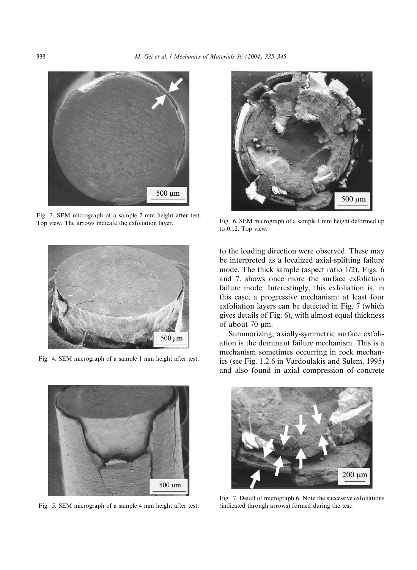

Fig. 3. SEM micrograph of a sample 2 mm height after test. Top view. The arrows indicate the exfoliation layer.



Fig. 4. SEM micrograph of a sample 1 mm height after test.



Fig. 5. SEM micrograph of a sample 4 mm height after test.



Fig. 6. SEM micrograph of a sample 1 mm height deformed up to 0.12. Top view.

to the loading direction were observed. These may be interpreted as a localized axial-splitting failure mode. The thick sample (aspect ratio 1/2), Figs. 6 and 7, shows once more the surface exfoliation failure mode. Interestingly, this exfoliation is, in this case, a progressive mechanism: at least four exfoliation layers can be detected in Fig. 7 (which gives details of Fig. 6), with almost equal thickness of about 70  $\mu$ m.

Summarizing, axially-symmetric surface exfoliation is the dominant failure mechanism. This is a mechanism sometimes occurring in rock mechanics (see Fig. 1.2.6 in Vardoulakis and Sulem, 1995) and also found in axial compression of concrete



Fig. 7. Detail of micrograph 6. Note the successive exfoliations (indicated through arrows) formed during the test.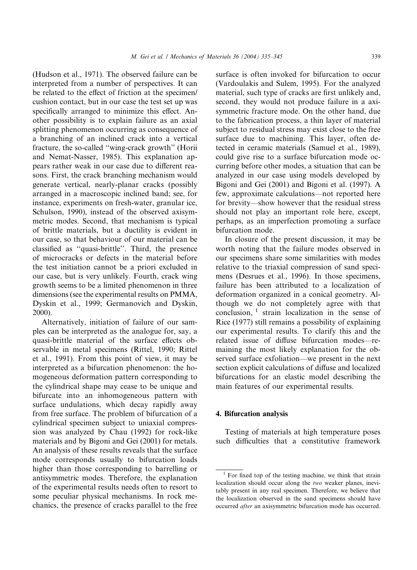M. Gei et al. / Mechanics of Materials 36 (2004) 335–345 339

(Hudson et al., 1971). The observed failure can be interpreted from a number of perspectives. It can be related to the effect of friction at the specimen/ cushion contact, but in our case the test set up was specifically arranged to minimize this effect. Another possibility is to explain failure as an axial splitting phenomenon occurring as consequence of a branching of an inclined crack into a vertical fracture, the so-called ''wing-crack growth'' (Horii and Nemat-Nasser, 1985). This explanation appears rather weak in our case due to different reasons. First, the crack branching mechanism would generate vertical, nearly-planar cracks (possibly arranged in a macroscopic inclined band; see, for instance, experiments on fresh-water, granular ice, Schulson, 1990), instead of the observed axisymmetric modes. Second, that mechanism is typical of brittle materials, but a ductility is evident in our case, so that behaviour of our material can be classified as ''quasi-brittle''. Third, the presence of microcracks or defects in the material before the test initiation cannot be a priori excluded in our case, but is very unlikely. Fourth, crack wing growth seems to be a limited phenomenon in three dimensions (see the experimental results on PMMA, Dyskin et al., 1999; Germanovich and Dyskin, 2000).

Alternatively, initiation of failure of our samples can be interpreted as the analogue for, say, a quasi-brittle material of the surface effects observable in metal specimens (Rittel, 1990; Rittel et al., 1991). From this point of view, it may be interpreted as a bifurcation phenomenon: the homogeneous deformation pattern corresponding to the cylindrical shape may cease to be unique and bifurcate into an inhomogeneous pattern with surface undulations, which decay rapidly away from free surface. The problem of bifurcation of a cylindrical specimen subject to uniaxial compression was analyzed by Chau (1992) for rock-like materials and by Bigoni and Gei (2001) for metals. An analysis of these results reveals that the surface mode corresponds usually to bifurcation loads higher than those corresponding to barrelling or antisymmetric modes. Therefore, the explanation of the experimental results needs often to resort to some peculiar physical mechanisms. In rock mechanics, the presence of cracks parallel to the free surface is often invoked for bifurcation to occur (Vardoulakis and Sulem, 1995). For the analyzed material, such type of cracks are first unlikely and, second, they would not produce failure in a axisymmetric fracture mode. On the other hand, due to the fabrication process, a thin layer of material subject to residual stress may exist close to the free surface due to machining. This layer, often detected in ceramic materials (Samuel et al., 1989), could give rise to a surface bifurcation mode occurring before other modes, a situation that can be analyzed in our case using models developed by Bigoni and Gei (2001) and Bigoni et al. (1997). A few, approximate calculations––not reported here for brevity––show however that the residual stress should not play an important role here, except, perhaps, as an imperfection promoting a surface bifurcation mode.

In closure of the present discussion, it may be worth noting that the failure modes observed in our specimens share some similarities with modes relative to the triaxial compression of sand specimens (Desrues et al., 1996). In those specimens, failure has been attributed to a localization of deformation organized in a conical geometry. Although we do not completely agree with that conclusion,  $\frac{1}{1}$  strain localization in the sense of Rice (1977) still remains a possibility of explaining our experimental results. To clarify this and the related issue of diffuse bifurcation modes––remaining the most likely explanation for the observed surface exfoliation––we present in the next section explicit calculations of diffuse and localized bifurcations for an elastic model describing the main features of our experimental results.

### 4. Bifurcation analysis

Testing of materials at high temperature poses such difficulties that a constitutive framework

 $1$  For fixed top of the testing machine, we think that strain localization should occur along the two weaker planes, inevitably present in any real specimen. Therefore, we believe that the localization observed in the sand specimens should have occurred after an axisymmetric bifurcation mode has occurred.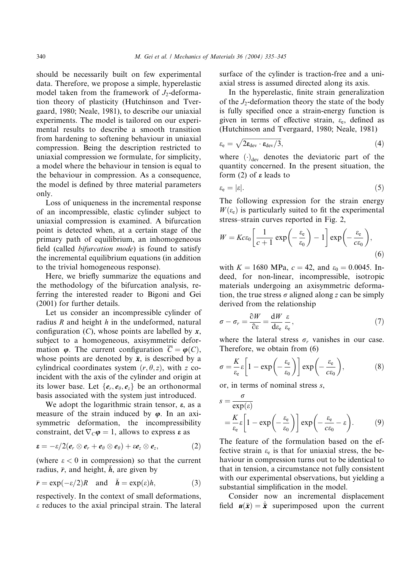should be necessarily built on few experimental data. Therefore, we propose a simple, hyperelastic model taken from the framework of  $J_2$ -deformation theory of plasticity (Hutchinson and Tvergaard, 1980; Neale, 1981), to describe our uniaxial experiments. The model is tailored on our experimental results to describe a smooth transition from hardening to softening behaviour in uniaxial compression. Being the description restricted to uniaxial compression we formulate, for simplicity, a model where the behaviour in tension is equal to the behaviour in compression. As a consequence, the model is defined by three material parameters only.

Loss of uniqueness in the incremental response of an incompressible, elastic cylinder subject to uniaxial compression is examined. A bifurcation point is detected when, at a certain stage of the primary path of equilibrium, an inhomogeneous field (called bifurcation mode) is found to satisfy the incremental equilibrium equations (in addition to the trivial homogeneous response).

Here, we briefly summarize the equations and the methodology of the bifurcation analysis, referring the interested reader to Bigoni and Gei (2001) for further details.

Let us consider an incompressible cylinder of radius  $R$  and height  $h$  in the undeformed, natural configuration  $(C)$ , whose points are labelled by x, subject to a homogeneous, axisymmetric deformation  $\varphi$ . The current configuration  $\overline{C} = \varphi(C)$ , whose points are denoted by  $\bar{x}$ , is described by a cylindrical coordinates system  $(r, \theta, z)$ , with z coincident with the axis of the cylinder and origin at its lower base. Let  $\{e_r, e_\theta, e_z\}$  be an orthonormal basis associated with the system just introduced.

We adopt the logarithmic strain tensor,  $\varepsilon$ , as a measure of the strain induced by  $\varphi$ . In an axisymmetric deformation, the incompressibility constraint, det  $\nabla_c \varphi = 1$ , allows to express  $\varepsilon$  as

$$
\boldsymbol{\varepsilon} = -\varepsilon/2(\boldsymbol{e}_r \otimes \boldsymbol{e}_r + \boldsymbol{e}_\theta \otimes \boldsymbol{e}_\theta) + \varepsilon \boldsymbol{e}_z \otimes \boldsymbol{e}_z, \qquad (2)
$$

(where  $\epsilon$  < 0 in compression) so that the current radius,  $\bar{r}$ , and height,  $\bar{h}$ , are given by

$$
\bar{r} = \exp(-\varepsilon/2)R \quad \text{and} \quad \bar{h} = \exp(\varepsilon)h,\tag{3}
$$

respectively. In the context of small deformations,  $\varepsilon$  reduces to the axial principal strain. The lateral surface of the cylinder is traction-free and a uniaxial stress is assumed directed along its axis.

In the hyperelastic, finite strain generalization of the  $J_2$ -deformation theory the state of the body is fully specified once a strain-energy function is given in terms of effective strain,  $\varepsilon_e$ , defined as (Hutchinson and Tvergaard, 1980; Neale, 1981)

$$
\varepsilon_{\rm e} = \sqrt{2\epsilon_{\rm dev} \cdot \epsilon_{\rm dev}/3},\tag{4}
$$

where  $(\cdot)_{\text{dev}}$  denotes the deviatoric part of the quantity concerned. In the present situation, the form  $(2)$  of  $\varepsilon$  leads to

$$
\varepsilon_{\rm e} = |\varepsilon|.\tag{5}
$$

The following expression for the strain energy  $W(\varepsilon_e)$  is particularly suited to fit the experimental stress–strain curves reported in Fig. 2,

$$
W = Kc\epsilon_0 \left[ \frac{1}{c+1} \exp\left(-\frac{\epsilon_e}{\epsilon_0}\right) - 1 \right] \exp\left(-\frac{\epsilon_e}{c\epsilon_0}\right),\tag{6}
$$

with  $K = 1680$  MPa,  $c = 42$ , and  $\varepsilon_0 = 0.0045$ . Indeed, for non-linear, incompressible, isotropic materials undergoing an axisymmetric deformation, the true stress  $\sigma$  aligned along z can be simply derived from the relationship

$$
\sigma - \sigma_r = \frac{\partial W}{\partial \varepsilon} = \frac{\mathrm{d}W}{\mathrm{d}\varepsilon_{\mathrm{e}}} \frac{\varepsilon}{\varepsilon_{\mathrm{e}}},\tag{7}
$$

where the lateral stress  $\sigma_r$  vanishes in our case. Therefore, we obtain from (6)

$$
\sigma = \frac{K}{\varepsilon_{e}} \varepsilon \left[ 1 - \exp\left( -\frac{\varepsilon_{e}}{\varepsilon_{0}} \right) \right] \exp\left( -\frac{\varepsilon_{e}}{c \varepsilon_{0}} \right), \tag{8}
$$

or, in terms of nominal stress s,

$$
s = \frac{\sigma}{\exp(\varepsilon)}
$$
  
=  $\frac{K}{\varepsilon_{e}} \varepsilon \left[ 1 - \exp\left(-\frac{\varepsilon_{e}}{\varepsilon_{0}}\right) \right] \exp\left(-\frac{\varepsilon_{e}}{c\varepsilon_{0}} - \varepsilon\right).$  (9)

The feature of the formulation based on the effective strain  $\varepsilon_e$  is that for uniaxial stress, the behaviour in compression turns out to be identical to that in tension, a circumstance not fully consistent with our experimental observations, but yielding a substantial simplification in the model.

Consider now an incremental displacement field  $u(\bar{x}) = \dot{\bar{x}}$  superimposed upon the current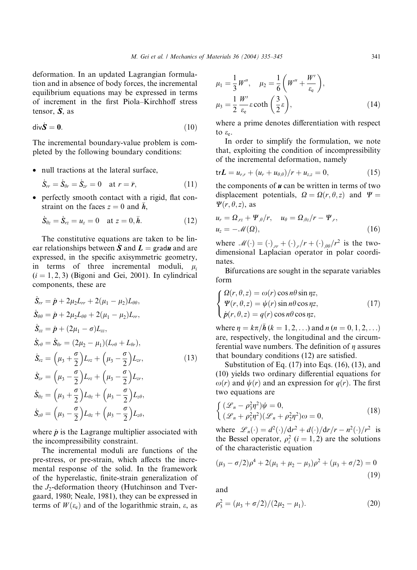deformation. In an updated Lagrangian formulation and in absence of body forces, the incremental equilibrium equations may be expressed in terms of increment in the first Piola–Kirchhoff stress tensor,  $\dot{S}$ , as

$$
\mathsf{div}\dot{\mathbf{S}} = \mathbf{0}.\tag{10}
$$

The incremental boundary-value problem is completed by the following boundary conditions:

• null tractions at the lateral surface,

$$
\dot{S}_{rr} = \dot{S}_{\theta r} = \dot{S}_{zr} = 0 \quad \text{at } r = \bar{r}, \tag{11}
$$

• perfectly smooth contact with a rigid, flat constraint on the faces  $z = 0$  and  $\bar{h}$ ,

$$
\dot{S}_{\theta z} = \dot{S}_{rz} = u_z = 0 \quad \text{at } z = 0, \bar{h}.
$$
 (12)

The constitutive equations are taken to be linear relationships between  $\dot{S}$  and  $L = \text{grad}u$  and are expressed, in the specific axisymmetric geometry, in terms of three incremental moduli,  $\mu_i$  $(i = 1, 2, 3)$  (Bigoni and Gei, 2001). In cylindrical components, these are

$$
\dot{S}_{rr} = \dot{p} + 2\mu_{2}L_{rr} + 2(\mu_{1} - \mu_{2})L_{\theta\theta}, \n\dot{S}_{\theta\theta} = \dot{p} + 2\mu_{2}L_{\theta\theta} + 2(\mu_{1} - \mu_{2})L_{rr}, \n\dot{S}_{zz} = \dot{p} + (2\mu_{1} - \sigma)L_{zz}, \n\dot{S}_{r\theta} = \dot{S}_{\theta r} = (2\mu_{2} - \mu_{1})(L_{r\theta} + L_{\theta r}), \n\dot{S}_{rz} = (\mu_{3} + \frac{\sigma}{2})L_{rz} + (\mu_{3} - \frac{\sigma}{2})L_{zr}, \n\dot{S}_{zr} = (\mu_{3} - \frac{\sigma}{2})L_{rz} + (\mu_{3} - \frac{\sigma}{2})L_{zr}, \n\dot{S}_{\theta z} = (\mu_{3} + \frac{\sigma}{2})L_{\theta z} + (\mu_{3} - \frac{\sigma}{2})L_{z\theta}, \n\dot{S}_{z\theta} = (\mu_{3} - \frac{\sigma}{2})L_{\theta z} + (\mu_{3} - \frac{\sigma}{2})L_{z\theta},
$$
\n(13)

where  $\dot{p}$  is the Lagrange multiplier associated with the incompressibility constraint.

The incremental moduli are functions of the pre-stress, or pre-strain, which affects the incremental response of the solid. In the framework of the hyperelastic, finite-strain generalization of the  $J_2$ -deformation theory (Hutchinson and Tvergaard, 1980; Neale, 1981), they can be expressed in terms of  $W(\varepsilon_e)$  and of the logarithmic strain,  $\varepsilon$ , as

$$
\mu_1 = \frac{1}{3} W'', \quad \mu_2 = \frac{1}{6} \left( W'' + \frac{W'}{\varepsilon_{\rm e}} \right),
$$
  

$$
\mu_3 = \frac{1}{2} \frac{W'}{\varepsilon_{\rm e}} \varepsilon \coth \left( \frac{3}{2} \varepsilon \right),
$$
 (14)

where a prime denotes differentiation with respect to  $\varepsilon_e$ .

In order to simplify the formulation, we note that, exploiting the condition of incompressibility of the incremental deformation, namely

$$
\text{tr}L = u_{r,r} + (u_r + u_{\theta,\theta})/r + u_{z,z} = 0, \qquad (15)
$$

the components of  $\boldsymbol{u}$  can be written in terms of two displacement potentials,  $\Omega = \Omega(r, \theta, z)$  and  $\Psi =$  $\Psi(r, \theta, z)$ , as

$$
u_r = \Omega_{,rz} + \Psi_{,\theta}/r, \quad u_\theta = \Omega_{,\theta z}/r - \Psi_{,r},
$$
  

$$
u_z = -\mathcal{M}(\Omega), \qquad (16)
$$

where  $\mathcal{M}(\cdot) = (\cdot)_{rr} + (\cdot)_{r}/r + (\cdot)_{\theta\theta}/r^2$  is the twodimensional Laplacian operator in polar coordinates.

Bifurcations are sought in the separate variables form

$$
\begin{cases}\n\Omega(r,\theta,z) = \omega(r)\cos n\theta \sin nz, \\
\Psi(r,\theta,z) = \psi(r)\sin n\theta \cos nz, \\
\dot{p}(r,\theta,z) = q(r)\cos n\theta \cos nz,\n\end{cases}
$$
\n(17)

where  $\eta = k\pi/\bar{h}$  ( $k = 1, 2, ...$ ) and  $n$  ( $n = 0, 1, 2, ...$ ) are, respectively, the longitudinal and the circumferential wave numbers. The definition of  $\eta$  assures that boundary conditions (12) are satisfied.

Substitution of Eq. (17) into Eqs. (16), (13), and (10) yields two ordinary differential equations for  $\omega(r)$  and  $\psi(r)$  and an expression for  $q(r)$ . The first two equations are

$$
\begin{cases} (\mathcal{L}_n - \rho_3^2 \eta^2) \psi = 0, \\ (\mathcal{L}_n + \rho_1^2 \eta^2) (\mathcal{L}_n + \rho_2^2 \eta^2) \omega = 0, \end{cases}
$$
 (18)

where  $\mathcal{L}_n(\cdot) = d^2(\cdot)/dr^2 + d(\cdot)/dr/r - n^2(\cdot)/r^2$  is the Bessel operator,  $\rho_i^2$  (*i* = 1, 2) are the solutions of the characteristic equation

$$
(\mu_3 - \sigma/2)\rho^4 + 2(\mu_1 + \mu_2 - \mu_3)\rho^2 + (\mu_3 + \sigma/2) = 0
$$
\n(19)

and

$$
\rho_3^2 = (\mu_3 + \sigma/2)/(2\mu_2 - \mu_1). \tag{20}
$$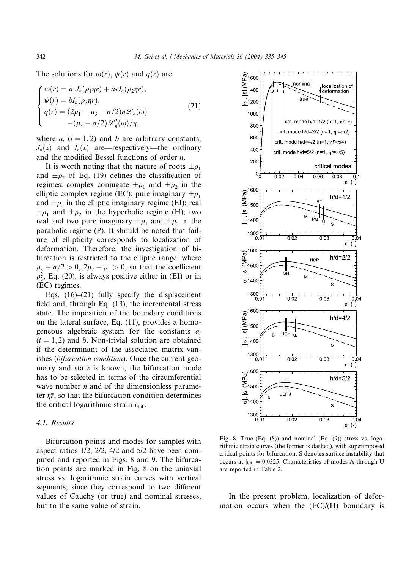The solutions for  $\omega(r)$ ,  $\psi(r)$  and  $q(r)$  are

$$
\begin{cases}\n\omega(r) = a_1 J_n(\rho_1 \eta r) + a_2 J_n(\rho_2 \eta r), \\
\psi(r) = b I_n(\rho_3 \eta r), \\
q(r) = (2\mu_1 - \mu_3 - \sigma/2) \eta \mathcal{L}_n(\omega) \\
-(\mu_3 - \sigma/2) \mathcal{L}_n^2(\omega) / \eta,\n\end{cases} \tag{21}
$$

where  $a_i$  (i = 1, 2) and b are arbitrary constants,  $J_n(x)$  and  $I_n(x)$  are—respectively—the ordinary and the modified Bessel functions of order n.

It is worth noting that the nature of roots  $\pm \rho_1$ and  $\pm \rho_2$  of Eq. (19) defines the classification of regimes: complex conjugate  $\pm \rho_1$  and  $\pm \rho_2$  in the elliptic complex regime (EC); pure imaginary  $\pm \rho_1$ and  $\pm \rho_2$  in the elliptic imaginary regime (EI); real  $\pm \rho_1$  and  $\pm \rho_2$  in the hyperbolic regime (H); two real and two pure imaginary  $\pm \rho_1$  and  $\pm \rho_2$  in the parabolic regime (P). It should be noted that failure of ellipticity corresponds to localization of deformation. Therefore, the investigation of bifurcation is restricted to the elliptic range, where  $\mu_3 + \sigma/2 > 0$ ,  $2\mu_2 - \mu_1 > 0$ , so that the coefficient  $\rho_3^2$ , Eq. (20), is always positive either in (EI) or in (EC) regimes.

Eqs.  $(16)$ – $(21)$  fully specify the displacement field and, through Eq. (13), the incremental stress state. The imposition of the boundary conditions on the lateral surface, Eq. (11), provides a homogeneous algebraic system for the constants  $a_i$  $(i = 1, 2)$  and b. Non-trivial solution are obtained if the determinant of the associated matrix vanishes (bifurcation condition). Once the current geometry and state is known, the bifurcation mode has to be selected in terms of the circumferential wave number  $n$  and of the dimensionless parameter  $\eta \bar{r}$ , so that the bifurcation condition determines the critical logarithmic strain  $\varepsilon_{\text{bif}}$ .

## 4.1. Results

Bifurcation points and modes for samples with aspect ratios 1/2, 2/2, 4/2 and 5/2 have been computed and reported in Figs. 8 and 9. The bifurcation points are marked in Fig. 8 on the uniaxial stress vs. logarithmic strain curves with vertical segments, since they correspond to two different values of Cauchy (or true) and nominal stresses, but to the same value of strain.



Fig. 8. True (Eq. (8)) and nominal (Eq. (9)) stress vs. logarithmic strain curves (the former is dashed), with superimposed critical points for bifurcation. S denotes surface instability that occurs at  $|\varepsilon_{si}| = 0.0325$ . Characteristics of modes A through U are reported in Table 2.

In the present problem, localization of deformation occurs when the (EC)/(H) boundary is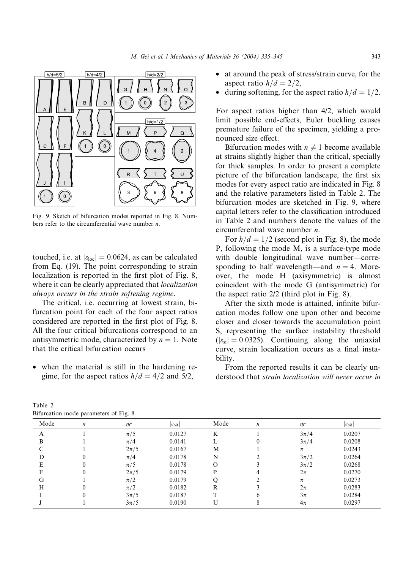

Fig. 9. Sketch of bifurcation modes reported in Fig. 8. Numbers refer to the circumferential wave number n.

touched, i.e. at  $|\varepsilon_{\text{loc}}| = 0.0624$ , as can be calculated from Eq. (19). The point corresponding to strain localization is reported in the first plot of Fig. 8, where it can be clearly appreciated that *localization* always occurs in the strain softening regime.

The critical, i.e. occurring at lowest strain, bifurcation point for each of the four aspect ratios considered are reported in the first plot of Fig. 8. All the four critical bifurcations correspond to an antisymmetric mode, characterized by  $n = 1$ . Note that the critical bifurcation occurs

• when the material is still in the hardening regime, for the aspect ratios  $h/d = 4/2$  and 5/2,

• at around the peak of stress/strain curve, for the aspect ratio  $h/d = 2/2$ ,

during softening, for the aspect ratio  $h/d = 1/2$ .

For aspect ratios higher than 4/2, which would limit possible end-effects, Euler buckling causes premature failure of the specimen, yielding a pronounced size effect.

Bifurcation modes with  $n \neq 1$  become available at strains slightly higher than the critical, specially for thick samples. In order to present a complete picture of the bifurcation landscape, the first six modes for every aspect ratio are indicated in Fig. 8 and the relative parameters listed in Table 2. The bifurcation modes are sketched in Fig. 9, where capital letters refer to the classification introduced in Table 2 and numbers denote the values of the circumferential wave number n.

For  $h/d = 1/2$  (second plot in Fig. 8), the mode P, following the mode M, is a surface-type mode with double longitudinal wave number--corresponding to half wavelength—and  $n = 4$ . Moreover, the mode H (axisymmetric) is almost coincident with the mode G (antisymmetric) for the aspect ratio 2/2 (third plot in Fig. 8).

After the sixth mode is attained, infinite bifurcation modes follow one upon other and become closer and closer towards the accumulation point S, representing the surface instability threshold  $(|\varepsilon_{si}| = 0.0325)$ . Continuing along the uniaxial curve, strain localization occurs as a final instability.

From the reported results it can be clearly understood that strain localization will never occur in

Mode  $n \overline{r}$  $\bar{r}$   $|\varepsilon_{\text{bif}}|$  Mode n  $\eta \bar{r}$  $\eta \bar{r}$   $|\varepsilon_{\rm bif}|$ A 1  $\pi/5$  0.0127 K 1  $3\pi/4$  0.0207 B 1  $\pi/4$  0.0141 L 0  $3\pi/4$  0.0208 C 1  $2\pi/5$  0.0167 M 1  $\pi$  0.0243 D 0  $\pi/4$  0.0178 N 2  $3\pi/2$  0.0264 E 0  $\pi/5$  0.0178 O 3  $3\pi/2$  0.0268 F 0  $2\pi/5$  0.0179 P 4  $2\pi$  0.0270 G 1  $\pi/2$  0.0179 Q 2  $\pi$  0.0273 H 0  $\pi/2$  0.0182 R 3  $2\pi$  0.0283 I 0  $3\pi/5$  0.0187 T 6  $3\pi$  0.0284 J 1  $3\pi/5$  0.0190 U 8  $4\pi$  0.0297

Table 2 Bifurcation mode parameters of Fig. 8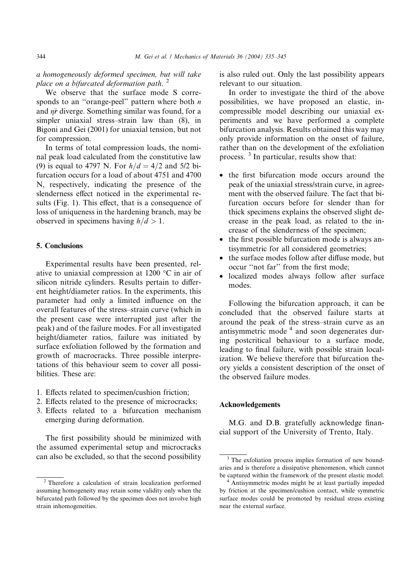a homogeneously deformed specimen, but will take place on a bifurcated deformation path.  $^2$ 

We observe that the surface mode S corresponds to an "orange-peel" pattern where both  $n$ and  $\eta \bar{r}$  diverge. Something similar was found, for a simpler uniaxial stress–strain law than (8), in Bigoni and Gei (2001) for uniaxial tension, but not for compression.

In terms of total compression loads, the nominal peak load calculated from the constitutive law (9) is equal to 4797 N. For  $h/d = 4/2$  and 5/2 bifurcation occurs for a load of about 4751 and 4700 N, respectively, indicating the presence of the slenderness effect noticed in the experimental results (Fig. 1). This effect, that is a consequence of loss of uniqueness in the hardening branch, may be observed in specimens having  $h/d > 1$ .

### 5. Conclusions

Experimental results have been presented, relative to uniaxial compression at  $1200$  °C in air of silicon nitride cylinders. Results pertain to different height/diameter ratios. In the experiments, this parameter had only a limited influence on the overall features of the stress–strain curve (which in the present case were interrupted just after the peak) and of the failure modes. For all investigated height/diameter ratios, failure was initiated by surface exfoliation followed by the formation and growth of macrocracks. Three possible interpretations of this behaviour seem to cover all possibilities. These are:

- 1. Effects related to specimen/cushion friction;
- 2. Effects related to the presence of microcracks;
- 3. Effects related to a bifurcation mechanism emerging during deformation.

The first possibility should be minimized with the assumed experimental setup and microcracks can also be excluded, so that the second possibility is also ruled out. Only the last possibility appears relevant to our situation.

In order to investigate the third of the above possibilities, we have proposed an elastic, incompressible model describing our uniaxial experiments and we have performed a complete bifurcation analysis. Results obtained this way may only provide information on the onset of failure, rather than on the development of the exfoliation process. <sup>3</sup> In particular, results show that:

- the first bifurcation mode occurs around the peak of the uniaxial stress/strain curve, in agreement with the observed failure. The fact that bifurcation occurs before for slender than for thick specimens explains the observed slight decrease in the peak load, as related to the increase of the slenderness of the specimen;
- the first possible bifurcation mode is always antisymmetric for all considered geometries;
- the surface modes follow after diffuse mode, but occur ''not far'' from the first mode;
- localized modes always follow after surface modes.

Following the bifurcation approach, it can be concluded that the observed failure starts at around the peak of the stress–strain curve as an antisymmetric mode <sup>4</sup> and soon degenerates during postcritical behaviour to a surface mode, leading to final failure, with possible strain localization. We believe therefore that bifurcation theory yields a consistent description of the onset of the observed failure modes.

# Acknowledgements

M.G. and D.B. gratefully acknowledge financial support of the University of Trento, Italy.

<sup>2</sup> Therefore a calculation of strain localization performed assuming homogeneity may retain some validity only when the bifurcated path followed by the specimen does not involve high strain inhomogeneities.

<sup>&</sup>lt;sup>3</sup> The exfoliation process implies formation of new boundaries and is therefore a dissipative phenomenon, which cannot<br>be captured within the framework of the present elastic model.

 $4$  Antisymmetric modes might be at least partially impeded. by friction at the specimen/cushion contact, while symmetric surface modes could be promoted by residual stress existing near the external surface.